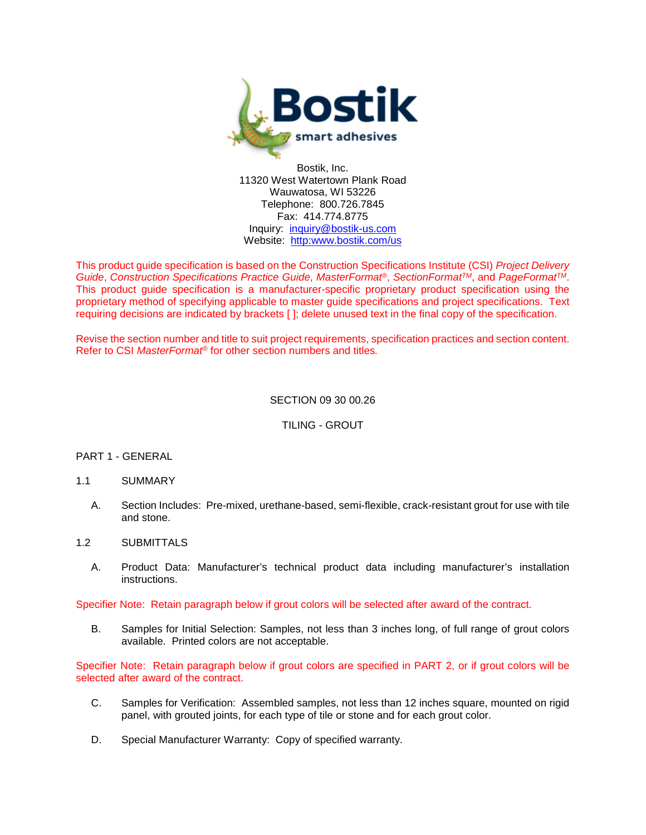

Bostik, Inc. 11320 West Watertown Plank Road Wauwatosa, WI 53226 Telephone: 800.726.7845 Fax: 414.774.8775 Inquiry: [inquiry@bostik-us.com](mailto:contactus@bostik-us.com) Website: [http:www.bostik.com/](http://www.bostik-us.com/)us

This product guide specification is based on the Construction Specifications Institute (CSI) *Project Delivery Guide*, *Construction Specifications Practice Guide*, *MasterFormat®*, *SectionFormatTM*, and *PageFormatTM*. This product guide specification is a manufacturer-specific proprietary product specification using the proprietary method of specifying applicable to master guide specifications and project specifications. Text requiring decisions are indicated by brackets [ ]; delete unused text in the final copy of the specification.

Revise the section number and title to suit project requirements, specification practices and section content. Refer to CSI *MasterFormat®* for other section numbers and titles*.*

## SECTION 09 30 00.26

TILING - GROUT

#### PART 1 - GENERAL

- 1.1 SUMMARY
	- A. Section Includes: Pre-mixed, urethane-based, semi-flexible, crack-resistant grout for use with tile and stone.
- 1.2 SUBMITTALS
	- A. Product Data: Manufacturer's technical product data including manufacturer's installation instructions.

Specifier Note: Retain paragraph below if grout colors will be selected after award of the contract.

B. Samples for Initial Selection: Samples, not less than 3 inches long, of full range of grout colors available. Printed colors are not acceptable.

Specifier Note: Retain paragraph below if grout colors are specified in PART 2, or if grout colors will be selected after award of the contract.

- C. Samples for Verification: Assembled samples, not less than 12 inches square, mounted on rigid panel, with grouted joints, for each type of tile or stone and for each grout color.
- D. Special Manufacturer Warranty: Copy of specified warranty.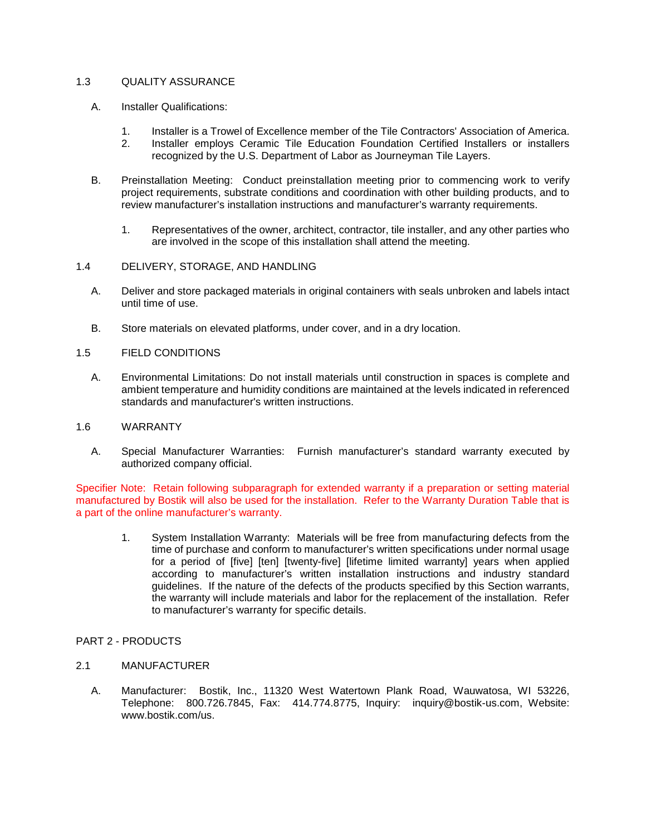## 1.3 QUALITY ASSURANCE

- A. Installer Qualifications:
	-
	- 1. Installer is a Trowel of Excellence member of the Tile Contractors' Association of America. 2. Installer employs Ceramic Tile Education Foundation Certified Installers or installers recognized by the U.S. Department of Labor as Journeyman Tile Layers.
- B. Preinstallation Meeting: Conduct preinstallation meeting prior to commencing work to verify project requirements, substrate conditions and coordination with other building products, and to review manufacturer's installation instructions and manufacturer's warranty requirements.
	- 1. Representatives of the owner, architect, contractor, tile installer, and any other parties who are involved in the scope of this installation shall attend the meeting.
- 1.4 DELIVERY, STORAGE, AND HANDLING
	- A. Deliver and store packaged materials in original containers with seals unbroken and labels intact until time of use.
	- B. Store materials on elevated platforms, under cover, and in a dry location.
- 1.5 FIELD CONDITIONS
	- A. Environmental Limitations: Do not install materials until construction in spaces is complete and ambient temperature and humidity conditions are maintained at the levels indicated in referenced standards and manufacturer's written instructions.
- 1.6 WARRANTY
	- A. Special Manufacturer Warranties: Furnish manufacturer's standard warranty executed by authorized company official.

Specifier Note: Retain following subparagraph for extended warranty if a preparation or setting material manufactured by Bostik will also be used for the installation. Refer to the Warranty Duration Table that is a part of the online manufacturer's warranty.

- 1. System Installation Warranty: Materials will be free from manufacturing defects from the time of purchase and conform to manufacturer's written specifications under normal usage for a period of [five] [ten] [twenty-five] [lifetime limited warranty] years when applied according to manufacturer's written installation instructions and industry standard guidelines. If the nature of the defects of the products specified by this Section warrants, the warranty will include materials and labor for the replacement of the installation. Refer to manufacturer's warranty for specific details.
- PART 2 PRODUCTS
- 2.1 MANUFACTURER
	- A. Manufacturer: Bostik, Inc., 11320 West Watertown Plank Road, Wauwatosa, WI 53226, Telephone: 800.726.7845, Fax: 414.774.8775, Inquiry: inquiry@bostik-us.com, Website: www.bostik.com/us.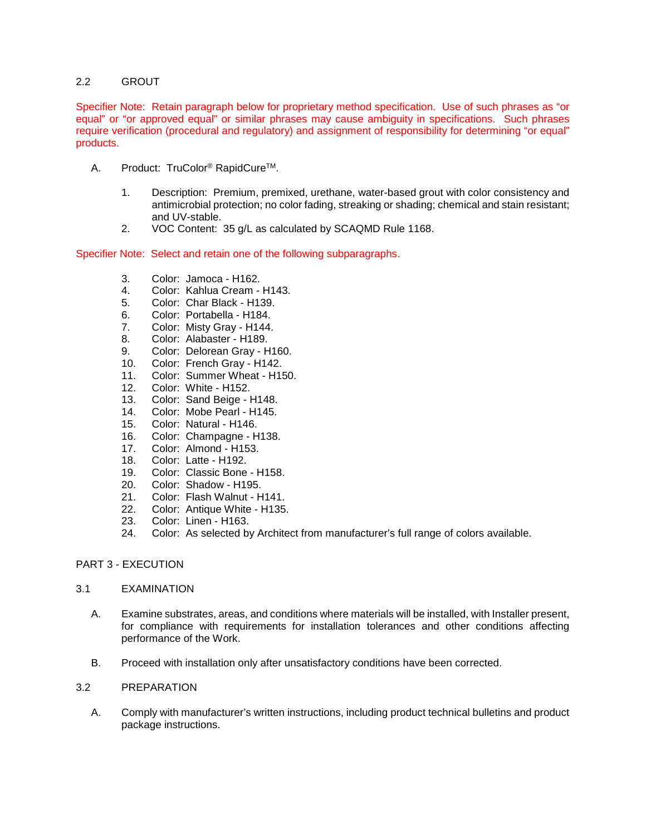## 2.2 GROUT

Specifier Note: Retain paragraph below for proprietary method specification. Use of such phrases as "or equal" or "or approved equal" or similar phrases may cause ambiguity in specifications. Such phrases require verification (procedural and regulatory) and assignment of responsibility for determining "or equal" products.

- A. Product: TruColor<sup>®</sup> RapidCure<sup>™</sup>.
	- 1. Description: Premium, premixed, urethane, water-based grout with color consistency and antimicrobial protection; no color fading, streaking or shading; chemical and stain resistant; and UV-stable.
	- 2. VOC Content: 35 g/L as calculated by SCAQMD Rule 1168.

Specifier Note: Select and retain one of the following subparagraphs.

- 3. Color: Jamoca H162.<br>4. Color: Kahlua Cream -
- 4. Color: Kahlua Cream H143.
- 5. Color: Char Black H139.
- 
- 6. Color: Portabella H184.<br>7. Color: Misty Gray H144. Color: Misty Gray - H144.
- 8. Color: Alabaster H189.
- 9. Color: Delorean Gray H160.
- 10. Color: French Gray H142.
- 11. Color: Summer Wheat H150.
- 
- 12. Color: White H152.<br>13. Color: Sand Beige I Color: Sand Beige - H148.
- 14. Color: Mobe Pearl H145.
- 
- 15. Color: Natural H146.<br>16. Color: Champagne H Color: Champagne - H138.
- 17. Color: Almond H153.
- 18. Color: Latte H192.
- 19. Color: Classic Bone H158.
- 20. Color: Shadow H195.
- 21. Color: Flash Walnut H141.
- 22. Color: Antique White H135.
- 23. Color: Linen H163.
- 24. Color: As selected by Architect from manufacturer's full range of colors available.

# PART 3 - EXECUTION

#### 3.1 EXAMINATION

- A. Examine substrates, areas, and conditions where materials will be installed, with Installer present, for compliance with requirements for installation tolerances and other conditions affecting performance of the Work.
- B. Proceed with installation only after unsatisfactory conditions have been corrected.

#### 3.2 PREPARATION

A. Comply with manufacturer's written instructions, including product technical bulletins and product package instructions.